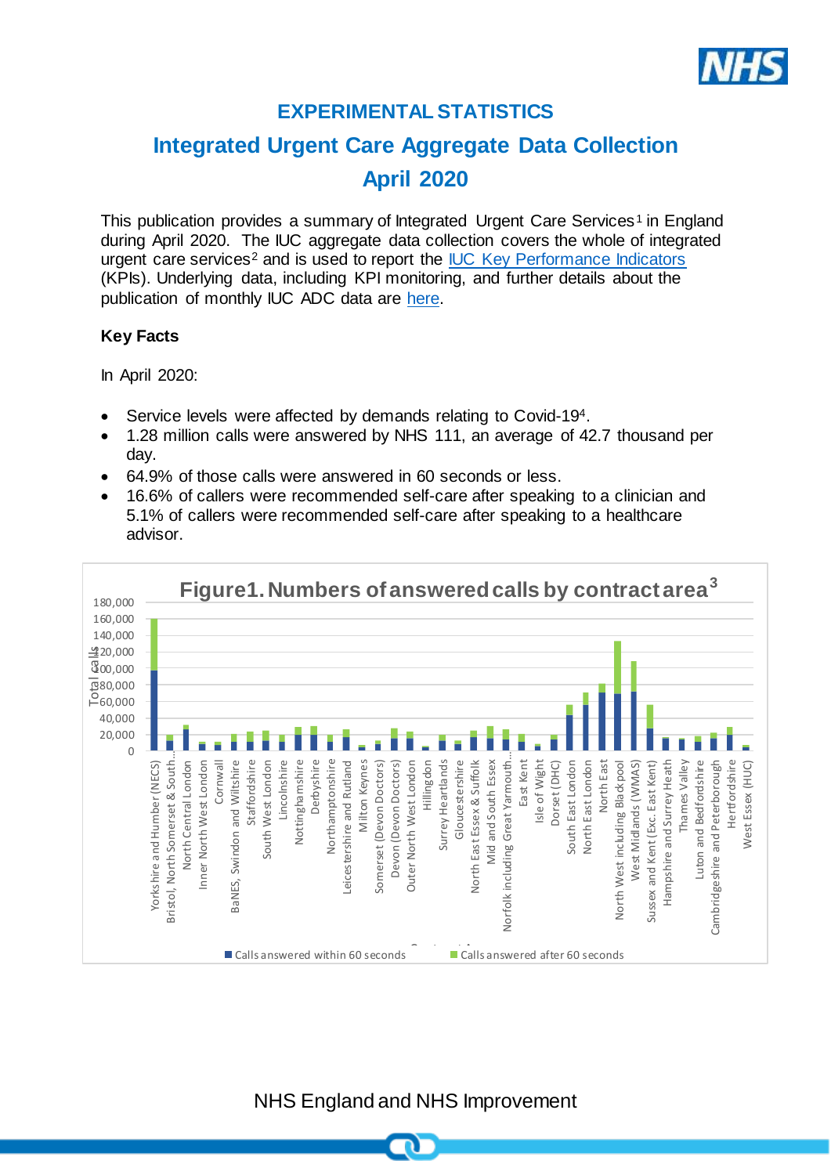

# **EXPERIMENTAL STATISTICS**

# **Integrated Urgent Care Aggregate Data Collection April 2020**

This publication provides a summary of Integrated Urgent Care Services<sup>1</sup> in England during April 2020. The IUC aggregate data collection covers the whole of integrated urgent care services<sup>2</sup> and is used to report the [IUC Key Performance Indicators](https://www.england.nhs.uk/publication/integrated-urgent-care-key-performance-indicators-and-quality-standards-2018/) (KPIs). Underlying data, including KPI monitoring, and further details about the publication of monthly IUC ADC data are [here.](https://www.england.nhs.uk/statistics/statistical-work-areas/nhs-111-minimum-data-set/integrated-urgent-care-aggregate-data-collection-iuc-adc/)

# **Key Facts**

In April 2020:

- Service levels were affected by demands relating to Covid-194.
- 1.28 million calls were answered by NHS 111, an average of 42.7 thousand per day.
- 64.9% of those calls were answered in 60 seconds or less.
- 16.6% of callers were recommended self-care after speaking to a clinician and 5.1% of callers were recommended self-care after speaking to a healthcare advisor.



NHS England and NHS Improvement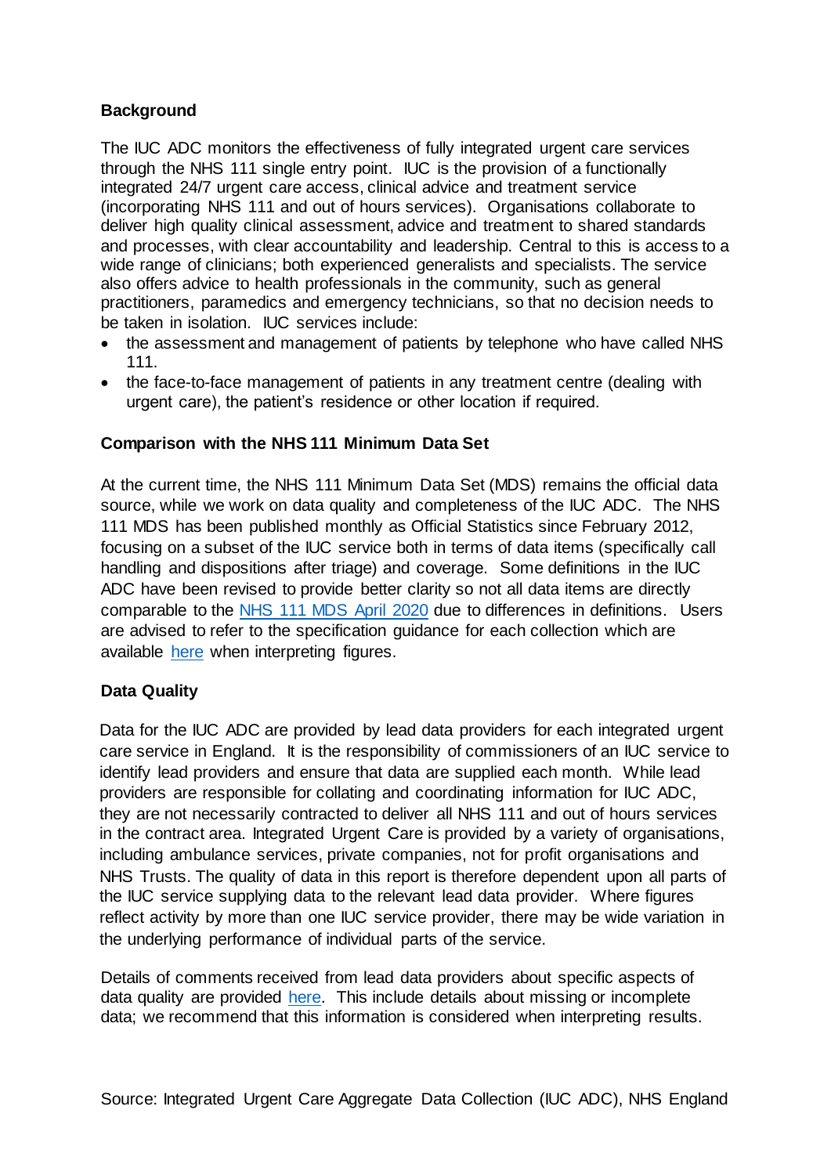### **Background**

The IUC ADC monitors the effectiveness of fully integrated urgent care services through the NHS 111 single entry point. IUC is the provision of a functionally integrated 24/7 urgent care access, clinical advice and treatment service (incorporating NHS 111 and out of hours services). Organisations collaborate to deliver high quality clinical assessment, advice and treatment to shared standards and processes, with clear accountability and leadership. Central to this is access to a wide range of clinicians; both experienced generalists and specialists. The service also offers advice to health professionals in the community, such as general practitioners, paramedics and emergency technicians, so that no decision needs to be taken in isolation. IUC services include:

- the assessment and management of patients by telephone who have called NHS 111.
- the face-to-face management of patients in any treatment centre (dealing with urgent care), the patient's residence or other location if required.

# **Comparison with the NHS 111 Minimum Data Set**

At the current time, the NHS 111 Minimum Data Set (MDS) remains the official data source, while we work on data quality and completeness of the IUC ADC. The NHS 111 MDS has been published monthly as Official Statistics since February 2012, focusing on a subset of the IUC service both in terms of data items (specifically call handling and dispositions after triage) and coverage. Some definitions in the IUC ADC have been revised to provide better clarity so not all data items are directly comparable to the [NHS 111 MDS April](https://www.england.nhs.uk/statistics/wp-content/uploads/sites/2/2020/05/NHS-111-MDS-May-2020-Statistical-Note.pdf) 2020 due to differences in definitions. Users are advised to refer to the specification guidance for each collection which are available [here](https://www.england.nhs.uk/statistics/statistical-work-areas/nhs-111-minimum-data-set/integrated-urgent-care-aggregate-data-collection-iuc-adc/) when interpreting figures.

### **Data Quality**

Data for the IUC ADC are provided by lead data providers for each integrated urgent care service in England. It is the responsibility of commissioners of an IUC service to identify lead providers and ensure that data are supplied each month. While lead providers are responsible for collating and coordinating information for IUC ADC, they are not necessarily contracted to deliver all NHS 111 and out of hours services in the contract area. Integrated Urgent Care is provided by a variety of organisations, including ambulance services, private companies, not for profit organisations and NHS Trusts. The quality of data in this report is therefore dependent upon all parts of the IUC service supplying data to the relevant lead data provider. Where figures reflect activity by more than one IUC service provider, there may be wide variation in the underlying performance of individual parts of the service.

Details of comments received from lead data providers about specific aspects of data quality are provided [here.](https://www.england.nhs.uk/statistics/statistical-work-areas/nhs-111-minimum-data-set/integrated-urgent-care-aggregate-data-collection-iuc-adc/) This include details about missing or incomplete data; we recommend that this information is considered when interpreting results.